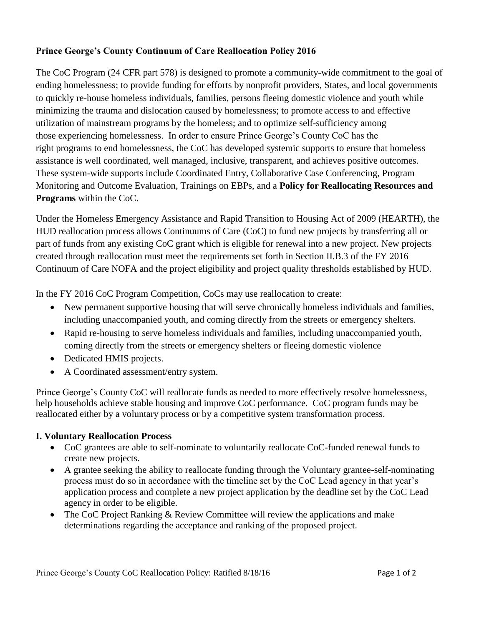## **Prince George's County Continuum of Care Reallocation Policy 2016**

The CoC Program (24 CFR part 578) is designed to promote a community-wide commitment to the goal of ending homelessness; to provide funding for efforts by nonprofit providers, States, and local governments to quickly re-house homeless individuals, families, persons fleeing domestic violence and youth while minimizing the trauma and dislocation caused by homelessness; to promote access to and effective utilization of mainstream programs by the homeless; and to optimize self-sufficiency among those experiencing homelessness. In order to ensure Prince George's County CoC has the right programs to end homelessness, the CoC has developed systemic supports to ensure that homeless assistance is well coordinated, well managed, inclusive, transparent, and achieves positive outcomes. These system-wide supports include Coordinated Entry, Collaborative Case Conferencing, Program Monitoring and Outcome Evaluation, Trainings on EBPs, and a **Policy for Reallocating Resources and Programs** within the CoC.

Under the Homeless Emergency Assistance and Rapid Transition to Housing Act of 2009 (HEARTH), the HUD reallocation process allows Continuums of Care (CoC) to fund new projects by transferring all or part of funds from any existing CoC grant which is eligible for renewal into a new project. New projects created through reallocation must meet the requirements set forth in Section II.B.3 of the FY 2016 Continuum of Care NOFA and the project eligibility and project quality thresholds established by HUD.

In the FY 2016 CoC Program Competition, CoCs may use reallocation to create:

- New permanent supportive housing that will serve chronically homeless individuals and families, including unaccompanied youth, and coming directly from the streets or emergency shelters.
- Rapid re-housing to serve homeless individuals and families, including unaccompanied youth, coming directly from the streets or emergency shelters or fleeing domestic violence
- Dedicated HMIS projects.
- A Coordinated assessment/entry system.

Prince George's County CoC will reallocate funds as needed to more effectively resolve homelessness, help households achieve stable housing and improve CoC performance. CoC program funds may be reallocated either by a voluntary process or by a competitive system transformation process.

## **I. Voluntary Reallocation Process**

- CoC grantees are able to self-nominate to voluntarily reallocate CoC-funded renewal funds to create new projects.
- A grantee seeking the ability to reallocate funding through the Voluntary grantee-self-nominating process must do so in accordance with the timeline set by the CoC Lead agency in that year's application process and complete a new project application by the deadline set by the CoC Lead agency in order to be eligible.
- The CoC Project Ranking & Review Committee will review the applications and make determinations regarding the acceptance and ranking of the proposed project.